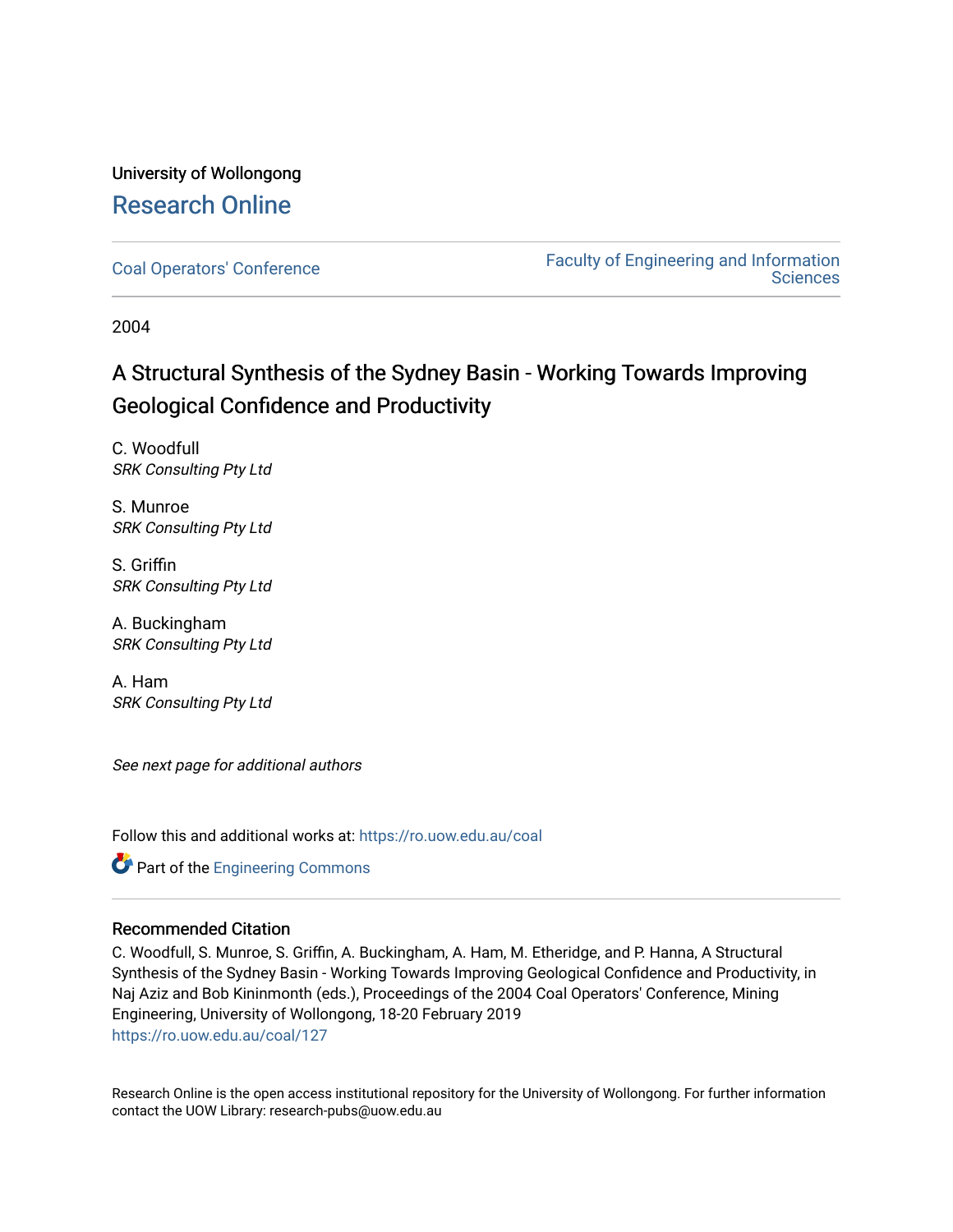# University of Wollongong [Research Online](https://ro.uow.edu.au/)

[Coal Operators' Conference](https://ro.uow.edu.au/coal) [Faculty of Engineering and Information](https://ro.uow.edu.au/eis)  **Sciences** 

2004

# A Structural Synthesis of the Sydney Basin - Working Towards Improving Geological Confidence and Productivity

C. Woodfull SRK Consulting Pty Ltd

S. Munroe SRK Consulting Pty Ltd

S. Griffin SRK Consulting Pty Ltd

A. Buckingham SRK Consulting Pty Ltd

A. Ham SRK Consulting Pty Ltd

See next page for additional authors

Follow this and additional works at: [https://ro.uow.edu.au/coal](https://ro.uow.edu.au/coal?utm_source=ro.uow.edu.au%2Fcoal%2F127&utm_medium=PDF&utm_campaign=PDFCoverPages) 

**Part of the [Engineering Commons](http://network.bepress.com/hgg/discipline/217?utm_source=ro.uow.edu.au%2Fcoal%2F127&utm_medium=PDF&utm_campaign=PDFCoverPages)** 

# Recommended Citation

C. Woodfull, S. Munroe, S. Griffin, A. Buckingham, A. Ham, M. Etheridge, and P. Hanna, A Structural Synthesis of the Sydney Basin - Working Towards Improving Geological Confidence and Productivity, in Naj Aziz and Bob Kininmonth (eds.), Proceedings of the 2004 Coal Operators' Conference, Mining Engineering, University of Wollongong, 18-20 February 2019 [https://ro.uow.edu.au/coal/127](https://ro.uow.edu.au/coal/127?utm_source=ro.uow.edu.au%2Fcoal%2F127&utm_medium=PDF&utm_campaign=PDFCoverPages) 

Research Online is the open access institutional repository for the University of Wollongong. For further information contact the UOW Library: research-pubs@uow.edu.au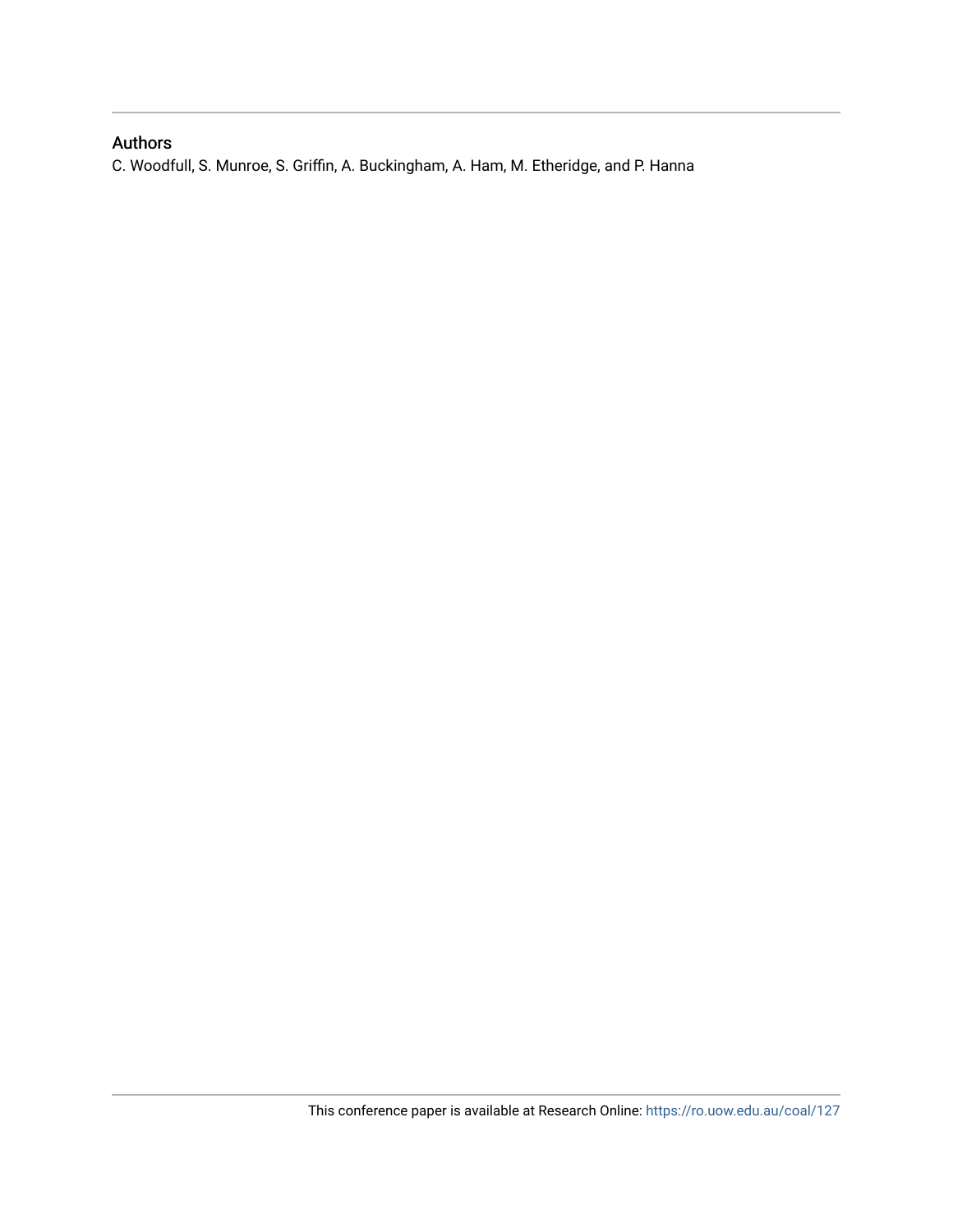# Authors

C. Woodfull, S. Munroe, S. Griffin, A. Buckingham, A. Ham, M. Etheridge, and P. Hanna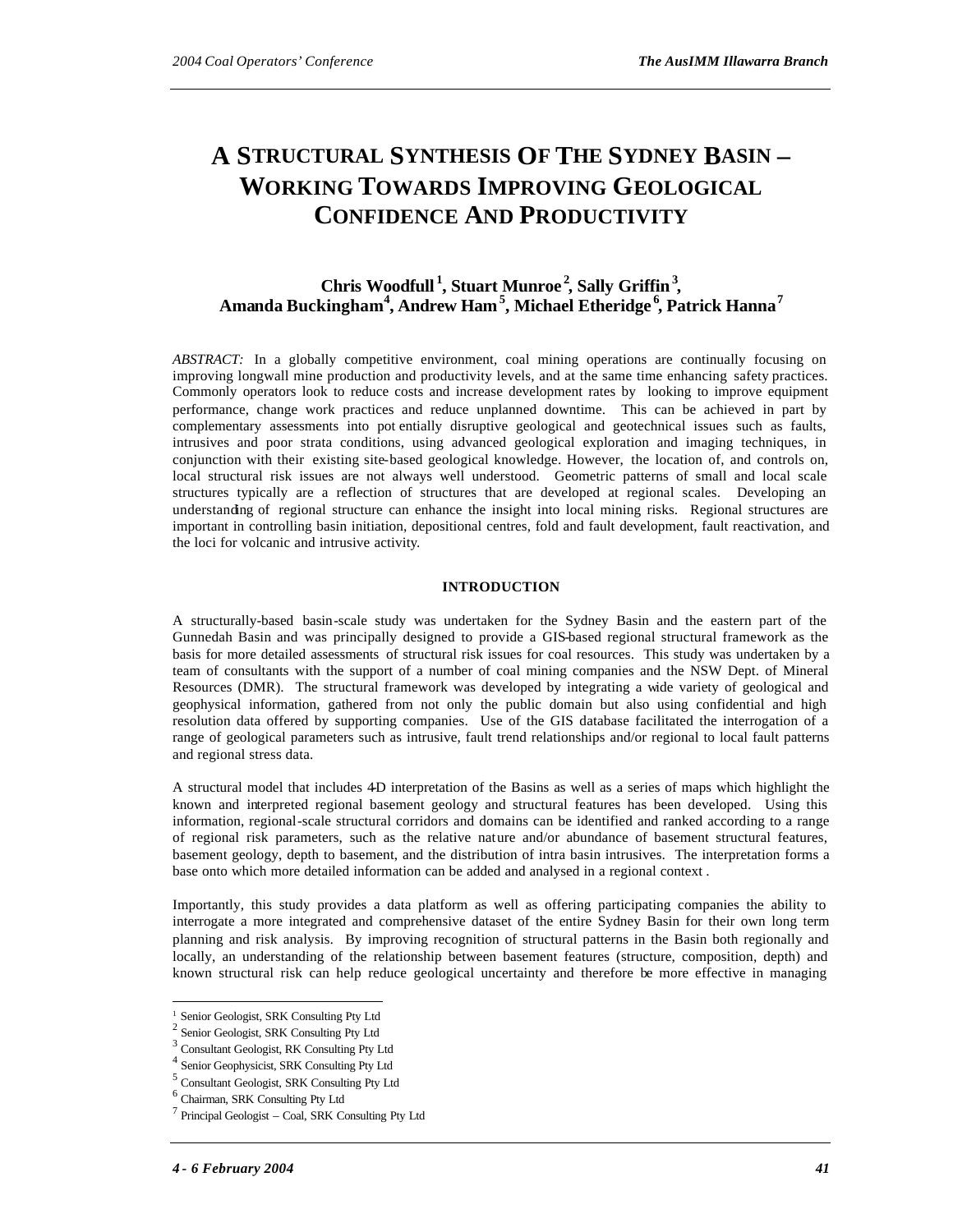# **A STRUCTURAL SYNTHESIS OF THE SYDNEY BASIN – WORKING TOWARDS IMPROVING GEOLOGICAL CONFIDENCE AND PRODUCTIVITY**

# **Chris Woodfull <sup>1</sup> , Stuart Munroe <sup>2</sup> , Sally Griffin<sup>3</sup> , Amanda Buckingham<sup>4</sup> , Andrew Ham<sup>5</sup> , Michael Etheridge <sup>6</sup> , Patrick Hanna<sup>7</sup>**

*ABSTRACT:* In a globally competitive environment, coal mining operations are continually focusing on improving longwall mine production and productivity levels, and at the same time enhancing safety practices. Commonly operators look to reduce costs and increase development rates by looking to improve equipment performance, change work practices and reduce unplanned downtime. This can be achieved in part by complementary assessments into pot entially disruptive geological and geotechnical issues such as faults, intrusives and poor strata conditions, using advanced geological exploration and imaging techniques, in conjunction with their existing site-based geological knowledge. However, the location of, and controls on, local structural risk issues are not always well understood. Geometric patterns of small and local scale structures typically are a reflection of structures that are developed at regional scales. Developing an understanding of regional structure can enhance the insight into local mining risks. Regional structures are important in controlling basin initiation, depositional centres, fold and fault development, fault reactivation, and the loci for volcanic and intrusive activity.

#### **INTRODUCTION**

A structurally-based basin-scale study was undertaken for the Sydney Basin and the eastern part of the Gunnedah Basin and was principally designed to provide a GIS-based regional structural framework as the basis for more detailed assessments of structural risk issues for coal resources. This study was undertaken by a team of consultants with the support of a number of coal mining companies and the NSW Dept. of Mineral Resources (DMR). The structural framework was developed by integrating a wide variety of geological and geophysical information, gathered from not only the public domain but also using confidential and high resolution data offered by supporting companies. Use of the GIS database facilitated the interrogation of a range of geological parameters such as intrusive, fault trend relationships and/or regional to local fault patterns and regional stress data.

A structural model that includes 4D interpretation of the Basins as well as a series of maps which highlight the known and interpreted regional basement geology and structural features has been developed. Using this information, regional-scale structural corridors and domains can be identified and ranked according to a range of regional risk parameters, such as the relative nature and/or abundance of basement structural features, basement geology, depth to basement, and the distribution of intra basin intrusives. The interpretation forms a base onto which more detailed information can be added and analysed in a regional context .

Importantly, this study provides a data platform as well as offering participating companies the ability to interrogate a more integrated and comprehensive dataset of the entire Sydney Basin for their own long term planning and risk analysis. By improving recognition of structural patterns in the Basin both regionally and locally, an understanding of the relationship between basement features (structure, composition, depth) and known structural risk can help reduce geological uncertainty and therefore be more effective in managing

 $\overline{\phantom{a}}$ 

<sup>&</sup>lt;sup>1</sup> Senior Geologist, SRK Consulting Pty Ltd

Senior Geologist, SRK Consulting Pty Ltd

<sup>3</sup> Consultant Geologist, RK Consulting Pty Ltd

<sup>4</sup> Senior Geophysicist, SRK Consulting Pty Ltd

<sup>5</sup> Consultant Geologist, SRK Consulting Pty Ltd

<sup>6</sup> Chairman, SRK Consulting Pty Ltd

<sup>7</sup> Principal Geologist – Coal, SRK Consulting Pty Ltd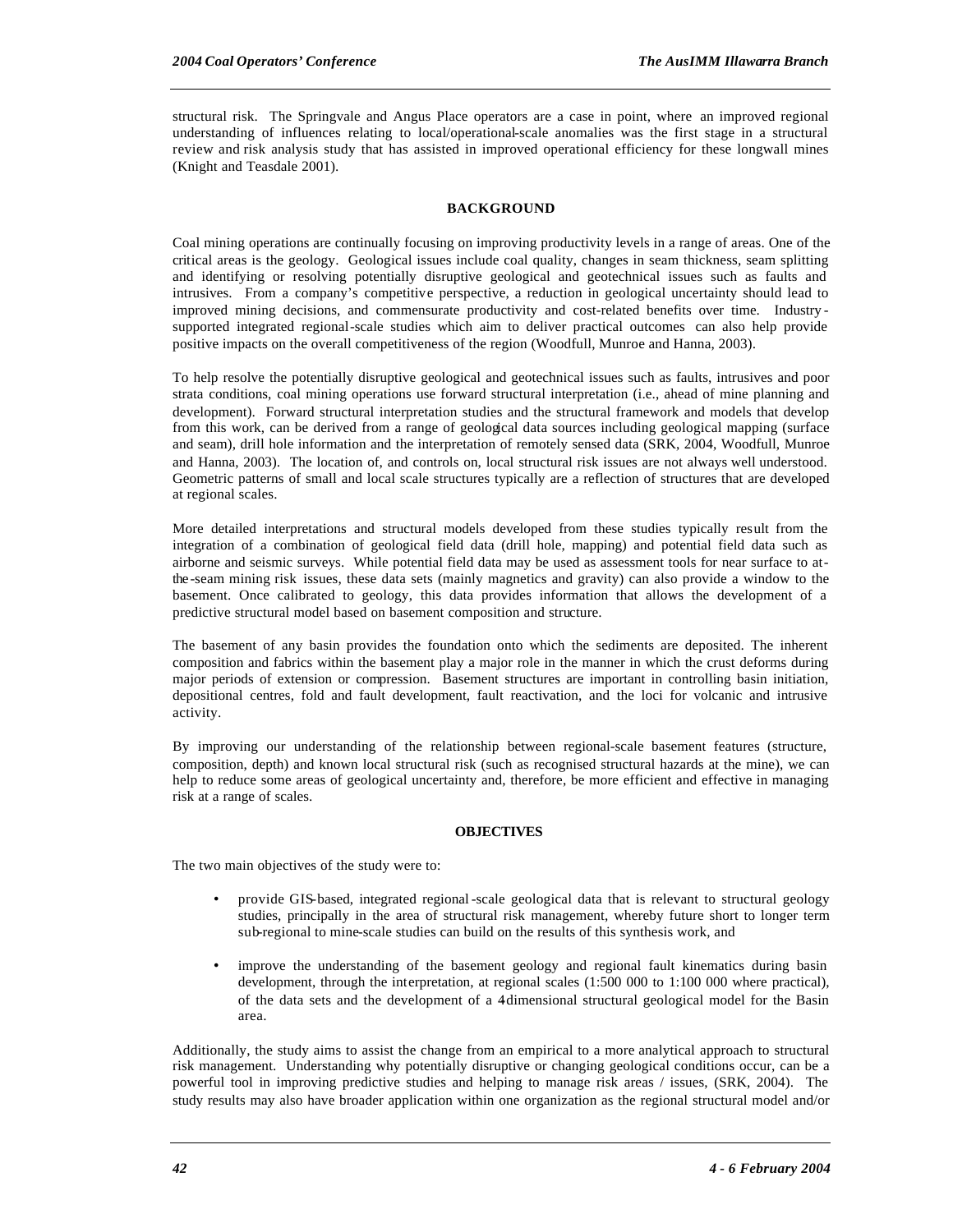structural risk. The Springvale and Angus Place operators are a case in point, where an improved regional understanding of influences relating to local/operational-scale anomalies was the first stage in a structural review and risk analysis study that has assisted in improved operational efficiency for these longwall mines (Knight and Teasdale 2001).

## **BACKGROUND**

Coal mining operations are continually focusing on improving productivity levels in a range of areas. One of the critical areas is the geology. Geological issues include coal quality, changes in seam thickness, seam splitting and identifying or resolving potentially disruptive geological and geotechnical issues such as faults and intrusives. From a company's competitive perspective, a reduction in geological uncertainty should lead to improved mining decisions, and commensurate productivity and cost-related benefits over time. Industry supported integrated regional-scale studies which aim to deliver practical outcomes can also help provide positive impacts on the overall competitiveness of the region (Woodfull, Munroe and Hanna, 2003).

To help resolve the potentially disruptive geological and geotechnical issues such as faults, intrusives and poor strata conditions, coal mining operations use forward structural interpretation (i.e., ahead of mine planning and development). Forward structural interpretation studies and the structural framework and models that develop from this work, can be derived from a range of geological data sources including geological mapping (surface and seam), drill hole information and the interpretation of remotely sensed data (SRK, 2004, Woodfull, Munroe and Hanna, 2003). The location of, and controls on, local structural risk issues are not always well understood. Geometric patterns of small and local scale structures typically are a reflection of structures that are developed at regional scales.

More detailed interpretations and structural models developed from these studies typically result from the integration of a combination of geological field data (drill hole, mapping) and potential field data such as airborne and seismic surveys. While potential field data may be used as assessment tools for near surface to atthe -seam mining risk issues, these data sets (mainly magnetics and gravity) can also provide a window to the basement. Once calibrated to geology, this data provides information that allows the development of a predictive structural model based on basement composition and structure.

The basement of any basin provides the foundation onto which the sediments are deposited. The inherent composition and fabrics within the basement play a major role in the manner in which the crust deforms during major periods of extension or compression. Basement structures are important in controlling basin initiation, depositional centres, fold and fault development, fault reactivation, and the loci for volcanic and intrusive activity.

By improving our understanding of the relationship between regional-scale basement features (structure, composition, depth) and known local structural risk (such as recognised structural hazards at the mine), we can help to reduce some areas of geological uncertainty and, therefore, be more efficient and effective in managing risk at a range of scales.

#### **OBJECTIVES**

The two main objectives of the study were to:

- provide GIS-based, integrated regional-scale geological data that is relevant to structural geology studies, principally in the area of structural risk management, whereby future short to longer term sub-regional to mine-scale studies can build on the results of this synthesis work, and
- improve the understanding of the basement geology and regional fault kinematics during basin development, through the interpretation, at regional scales (1:500 000 to 1:100 000 where practical), of the data sets and the development of a 4-dimensional structural geological model for the Basin area.

Additionally, the study aims to assist the change from an empirical to a more analytical approach to structural risk management. Understanding why potentially disruptive or changing geological conditions occur, can be a powerful tool in improving predictive studies and helping to manage risk areas / issues, (SRK, 2004). The study results may also have broader application within one organization as the regional structural model and/or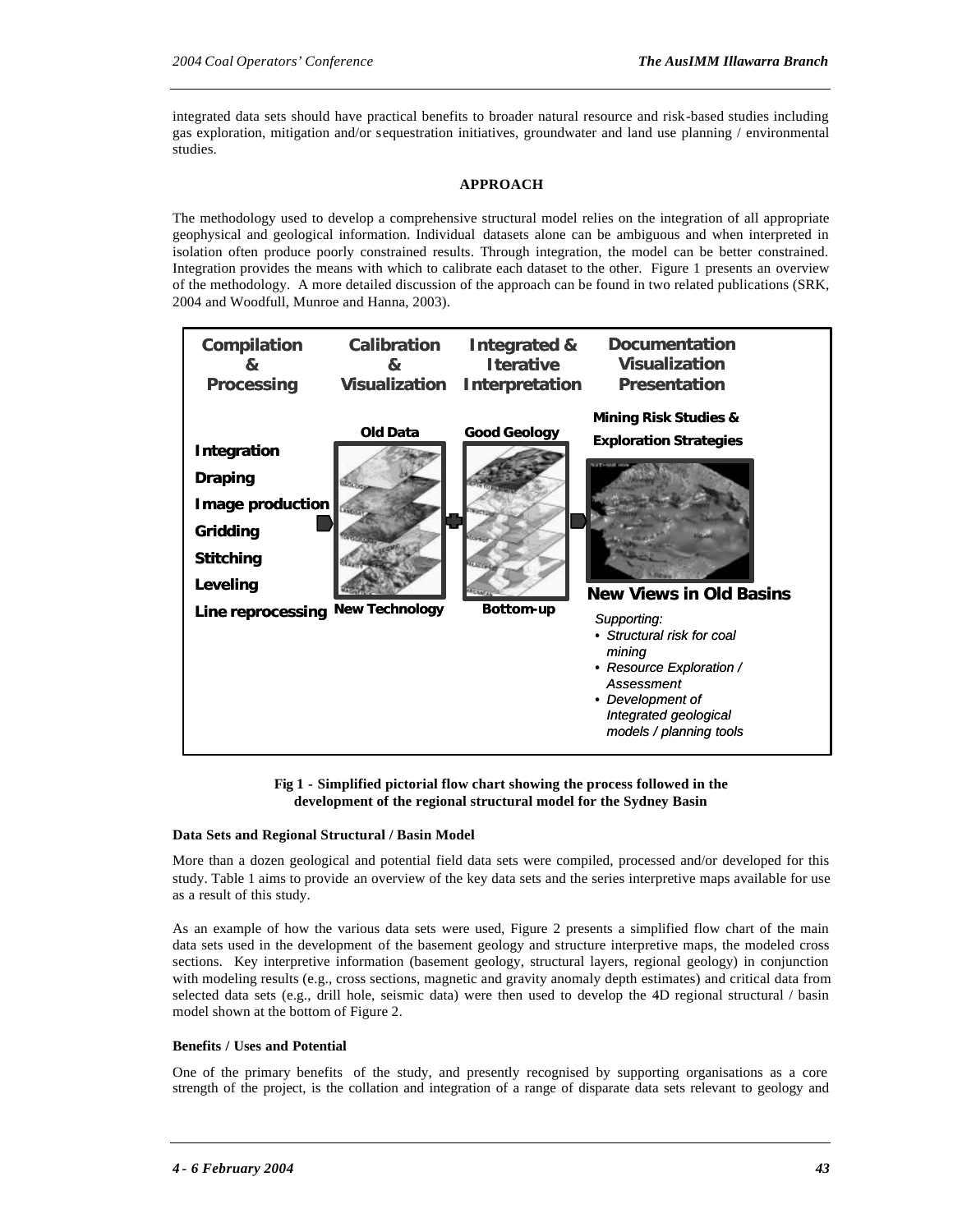integrated data sets should have practical benefits to broader natural resource and risk-based studies including gas exploration, mitigation and/or sequestration initiatives, groundwater and land use planning / environmental studies.

## **APPROACH**

The methodology used to develop a comprehensive structural model relies on the integration of all appropriate geophysical and geological information. Individual datasets alone can be ambiguous and when interpreted in isolation often produce poorly constrained results. Through integration, the model can be better constrained. Integration provides the means with which to calibrate each dataset to the other. Figure 1 presents an overview of the methodology. A more detailed discussion of the approach can be found in two related publications (SRK, 2004 and Woodfull, Munroe and Hanna, 2003).



**Fig 1 - Simplified pictorial flow chart showing the process followed in the development of the regional structural model for the Sydney Basin**

### **Data Sets and Regional Structural / Basin Model**

More than a dozen geological and potential field data sets were compiled, processed and/or developed for this study. Table 1 aims to provide an overview of the key data sets and the series interpretive maps available for use as a result of this study.

As an example of how the various data sets were used, Figure 2 presents a simplified flow chart of the main data sets used in the development of the basement geology and structure interpretive maps, the modeled cross sections. Key interpretive information (basement geology, structural layers, regional geology) in conjunction with modeling results (e.g., cross sections, magnetic and gravity anomaly depth estimates) and critical data from selected data sets (e.g., drill hole, seismic data) were then used to develop the 4D regional structural / basin model shown at the bottom of Figure 2.

### **Benefits / Uses and Potential**

One of the primary benefits of the study, and presently recognised by supporting organisations as a core strength of the project, is the collation and integration of a range of disparate data sets relevant to geology and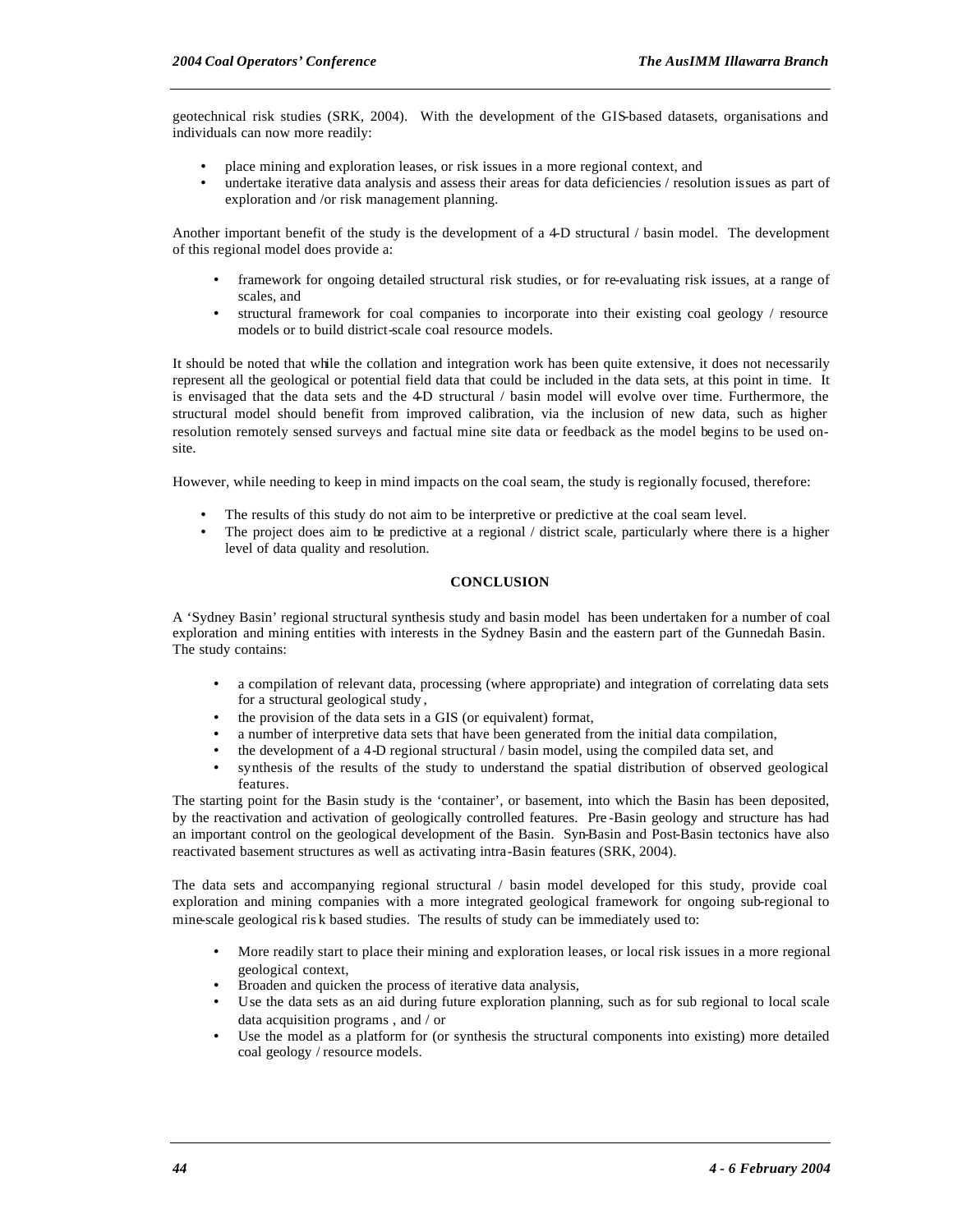geotechnical risk studies (SRK, 2004). With the development of the GIS-based datasets, organisations and individuals can now more readily:

- place mining and exploration leases, or risk issues in a more regional context, and
- undertake iterative data analysis and assess their areas for data deficiencies / resolution issues as part of exploration and /or risk management planning.

Another important benefit of the study is the development of a 4-D structural / basin model. The development of this regional model does provide a:

- framework for ongoing detailed structural risk studies, or for re-evaluating risk issues, at a range of scales, and
- structural framework for coal companies to incorporate into their existing coal geology / resource models or to build district-scale coal resource models.

It should be noted that while the collation and integration work has been quite extensive, it does not necessarily represent all the geological or potential field data that could be included in the data sets, at this point in time. It is envisaged that the data sets and the 4D structural / basin model will evolve over time. Furthermore, the structural model should benefit from improved calibration, via the inclusion of new data, such as higher resolution remotely sensed surveys and factual mine site data or feedback as the model begins to be used onsite.

However, while needing to keep in mind impacts on the coal seam, the study is regionally focused, therefore:

- The results of this study do not aim to be interpretive or predictive at the coal seam level.
- The project does aim to be predictive at a regional / district scale, particularly where there is a higher level of data quality and resolution.

#### **CONCLUSION**

A 'Sydney Basin' regional structural synthesis study and basin model has been undertaken for a number of coal exploration and mining entities with interests in the Sydney Basin and the eastern part of the Gunnedah Basin. The study contains:

- a compilation of relevant data, processing (where appropriate) and integration of correlating data sets for a structural geological study ,
- the provision of the data sets in a GIS (or equivalent) format,
- a number of interpretive data sets that have been generated from the initial data compilation,
- the development of a 4-D regional structural / basin model, using the compiled data set, and
- synthesis of the results of the study to understand the spatial distribution of observed geological features.

The starting point for the Basin study is the 'container', or basement, into which the Basin has been deposited, by the reactivation and activation of geologically controlled features. Pre -Basin geology and structure has had an important control on the geological development of the Basin. Syn-Basin and Post-Basin tectonics have also reactivated basement structures as well as activating intra-Basin features (SRK, 2004).

The data sets and accompanying regional structural / basin model developed for this study, provide coal exploration and mining companies with a more integrated geological framework for ongoing sub-regional to mine-scale geological ris k based studies. The results of study can be immediately used to:

- More readily start to place their mining and exploration leases, or local risk issues in a more regional geological context,
- Broaden and quicken the process of iterative data analysis,
- Use the data sets as an aid during future exploration planning, such as for sub regional to local scale data acquisition programs , and / or
- Use the model as a platform for (or synthesis the structural components into existing) more detailed coal geology / resource models.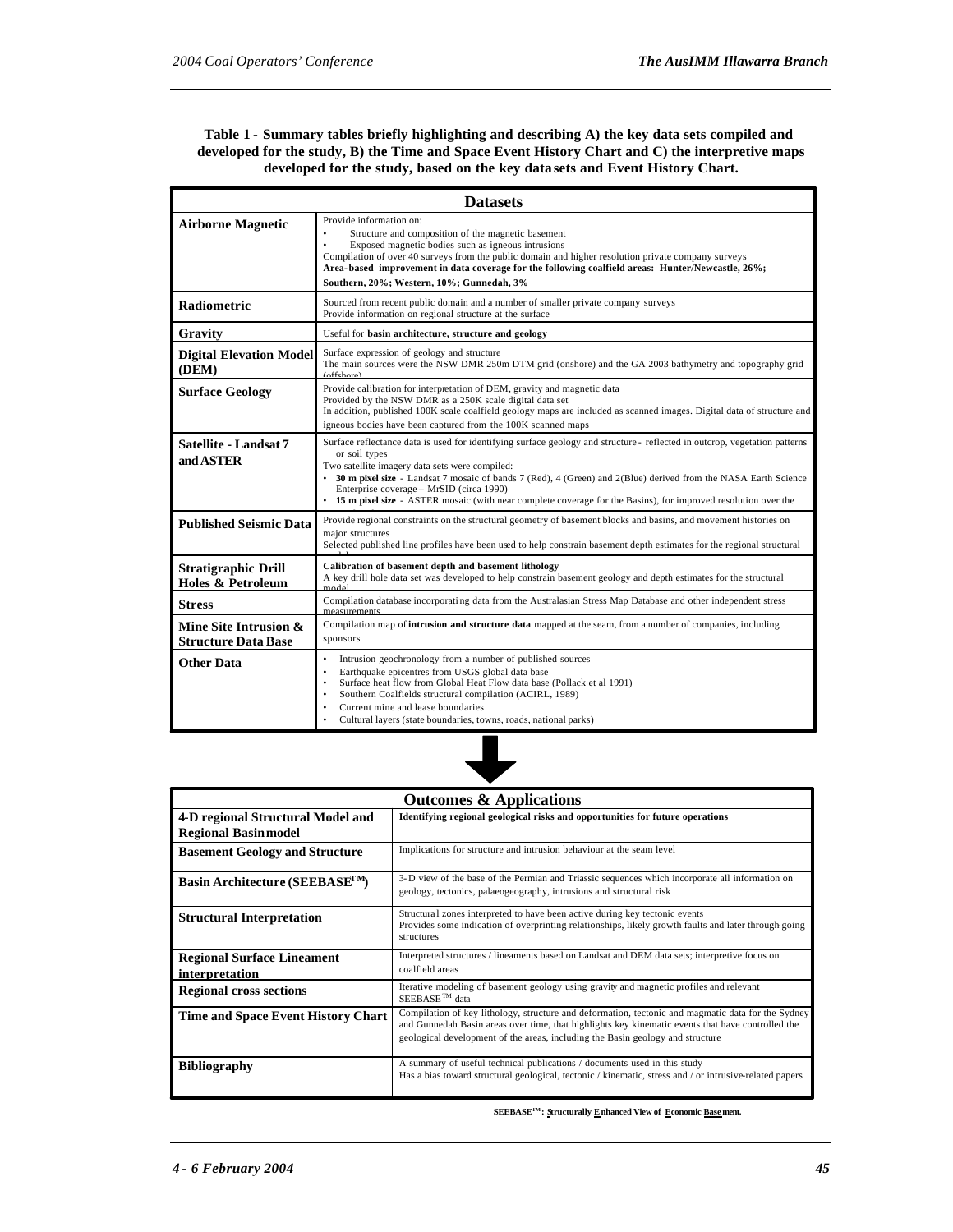## **Table 1 - Summary tables briefly highlighting and describing A) the key data sets compiled and developed for the study, B) the Time and Space Event History Chart and C) the interpretive maps developed for the study, based on the key data sets and Event History Chart.**

| <b>Datasets</b>                                     |                                                                                                                                                                                                                                                                                                                                                                                                                                                                                  |  |
|-----------------------------------------------------|----------------------------------------------------------------------------------------------------------------------------------------------------------------------------------------------------------------------------------------------------------------------------------------------------------------------------------------------------------------------------------------------------------------------------------------------------------------------------------|--|
| <b>Airborne Magnetic</b>                            | Provide information on:<br>Structure and composition of the magnetic basement<br>$\bullet$<br>Exposed magnetic bodies such as igneous intrusions<br>$\bullet$<br>Compilation of over 40 surveys from the public domain and higher resolution private company surveys<br>Area-based improvement in data coverage for the following coalfield areas: Hunter/Newcastle, 26%;<br>Southern, 20%; Western, 10%; Gunnedah, 3%                                                           |  |
| <b>Radiometric</b>                                  | Sourced from recent public domain and a number of smaller private company surveys<br>Provide information on regional structure at the surface                                                                                                                                                                                                                                                                                                                                    |  |
| Gravity                                             | Useful for basin architecture, structure and geology                                                                                                                                                                                                                                                                                                                                                                                                                             |  |
| <b>Digital Elevation Model</b><br>(DEM)             | Surface expression of geology and structure<br>The main sources were the NSW DMR 250m DTM grid (onshore) and the GA 2003 bathymetry and topography grid<br>(offchora)                                                                                                                                                                                                                                                                                                            |  |
| <b>Surface Geology</b>                              | Provide calibration for interpretation of DEM, gravity and magnetic data<br>Provided by the NSW DMR as a 250K scale digital data set<br>In addition, published 100K scale coalfield geology maps are included as scanned images. Digital data of structure and<br>igneous bodies have been captured from the 100K scanned maps                                                                                                                                                   |  |
| Satellite - Landsat 7<br>and ASTER                  | Surface reflectance data is used for identifying surface geology and structure - reflected in outcrop, vegetation patterns<br>or soil types<br>Two satellite imagery data sets were compiled:<br>• 30 m pixel size - Landsat 7 mosaic of bands 7 (Red), 4 (Green) and 2(Blue) derived from the NASA Earth Science<br>Enterprise coverage - MrSID (circa 1990)<br>• 15 m pixel size - ASTER mosaic (with near complete coverage for the Basins), for improved resolution over the |  |
| <b>Published Seismic Data</b>                       | Provide regional constraints on the structural geometry of basement blocks and basins, and movement histories on<br>major structures<br>Selected published line profiles have been used to help constrain basement depth estimates for the regional structural                                                                                                                                                                                                                   |  |
| <b>Stratigraphic Drill</b><br>Holes & Petroleum     | Calibration of basement depth and basement lithology<br>A key drill hole data set was developed to help constrain basement geology and depth estimates for the structural<br>ام<br>امام <u>ہ م</u>                                                                                                                                                                                                                                                                               |  |
| <b>Stress</b>                                       | Compilation database incorporating data from the Australasian Stress Map Database and other independent stress<br>measurements                                                                                                                                                                                                                                                                                                                                                   |  |
| Mine Site Intrusion &<br><b>Structure Data Base</b> | Compilation map of intrusion and structure data mapped at the seam, from a number of companies, including<br>sponsors                                                                                                                                                                                                                                                                                                                                                            |  |
| Other Data                                          | Intrusion geochronology from a number of published sources<br>$\bullet$<br>Earthquake epicentres from USGS global data base<br>$\bullet$<br>Surface heat flow from Global Heat Flow data base (Pollack et al 1991)<br>٠<br>Southern Coalfields structural compilation (ACIRL, 1989)<br>٠<br>Current mine and lease boundaries<br>Cultural layers (state boundaries, towns, roads, national parks)                                                                                |  |



| <b>Outcomes &amp; Applications</b>                  |                                                                                                                                                                                                                                                                                           |  |
|-----------------------------------------------------|-------------------------------------------------------------------------------------------------------------------------------------------------------------------------------------------------------------------------------------------------------------------------------------------|--|
| 4-D regional Structural Model and                   | Identifying regional geological risks and opportunities for future operations                                                                                                                                                                                                             |  |
| <b>Regional Basin model</b>                         |                                                                                                                                                                                                                                                                                           |  |
| <b>Basement Geology and Structure</b>               | Implications for structure and intrusion behaviour at the seam level                                                                                                                                                                                                                      |  |
| Basin Architecture (SEEBASE <sup>TM</sup> )         | 3-D view of the base of the Permian and Triassic sequences which incorporate all information on<br>geology, tectonics, palaeogeography, intrusions and structural risk                                                                                                                    |  |
| <b>Structural Interpretation</b>                    | Structural zones interpreted to have been active during key tectonic events<br>Provides some indication of overprinting relationships, likely growth faults and later through going<br>structures                                                                                         |  |
| <b>Regional Surface Lineament</b><br>interpretation | Interpreted structures / lineaments based on Landsat and DEM data sets; interpretive focus on<br>coalfield areas                                                                                                                                                                          |  |
| <b>Regional cross sections</b>                      | Iterative modeling of basement geology using gravity and magnetic profiles and relevant<br>SEEBASE <sup>™</sup> data                                                                                                                                                                      |  |
| <b>Time and Space Event History Chart</b>           | Compilation of key lithology, structure and deformation, tectonic and magmatic data for the Sydney<br>and Gunnedah Basin areas over time, that highlights key kinematic events that have controlled the<br>geological development of the areas, including the Basin geology and structure |  |
| <b>Bibliography</b>                                 | A summary of useful technical publications / documents used in this study<br>Has a bias toward structural geological, tectonic / kinematic, stress and / or intrusive-related papers                                                                                                      |  |

 $\mathbf{SEEBASE^{TM}}$  : Structurally  $\underline{\mathbf{E}}$  nhanced View of  $\ \underline{\mathbf{E}}$  conomic <u>Base</u> ment.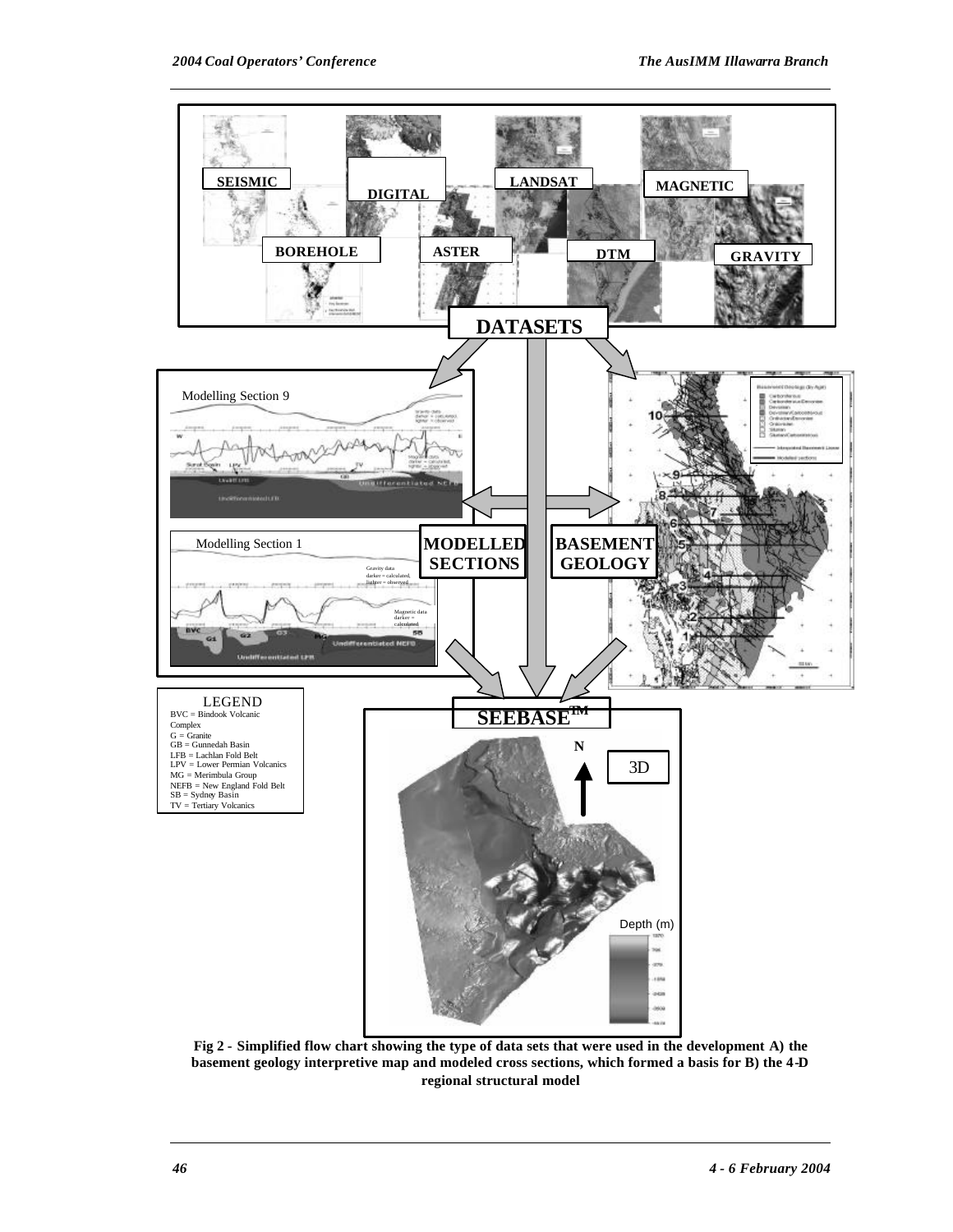